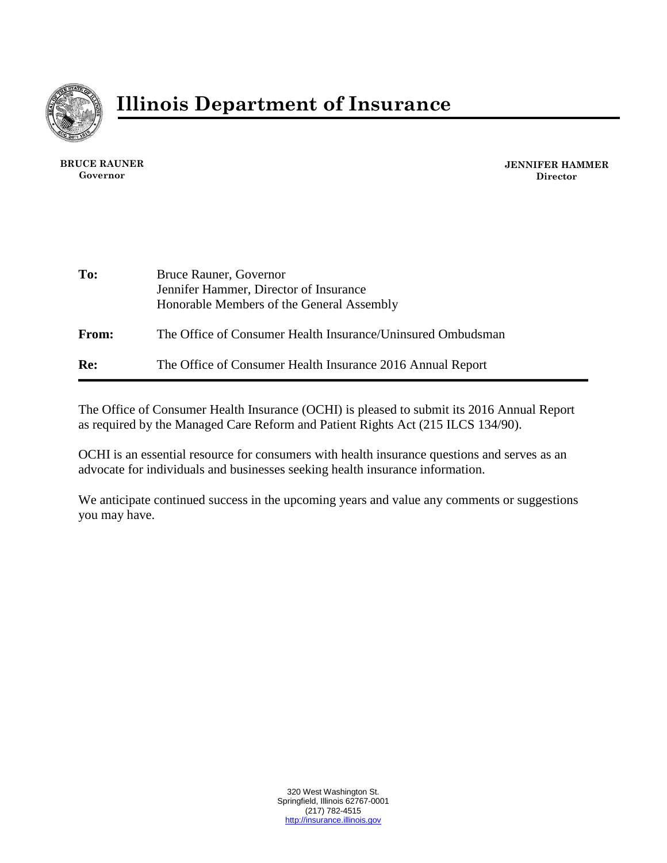

**BRUCE RAUNER Governor**

**JENNIFER HAMMER Director**

| To:   | Bruce Rauner, Governor<br>Jennifer Hammer, Director of Insurance<br>Honorable Members of the General Assembly |
|-------|---------------------------------------------------------------------------------------------------------------|
| From: | The Office of Consumer Health Insurance/Uninsured Ombudsman                                                   |
| Re:   | The Office of Consumer Health Insurance 2016 Annual Report                                                    |

The Office of Consumer Health Insurance (OCHI) is pleased to submit its 2016 Annual Report as required by the Managed Care Reform and Patient Rights Act (215 ILCS 134/90).

OCHI is an essential resource for consumers with health insurance questions and serves as an advocate for individuals and businesses seeking health insurance information.

We anticipate continued success in the upcoming years and value any comments or suggestions you may have.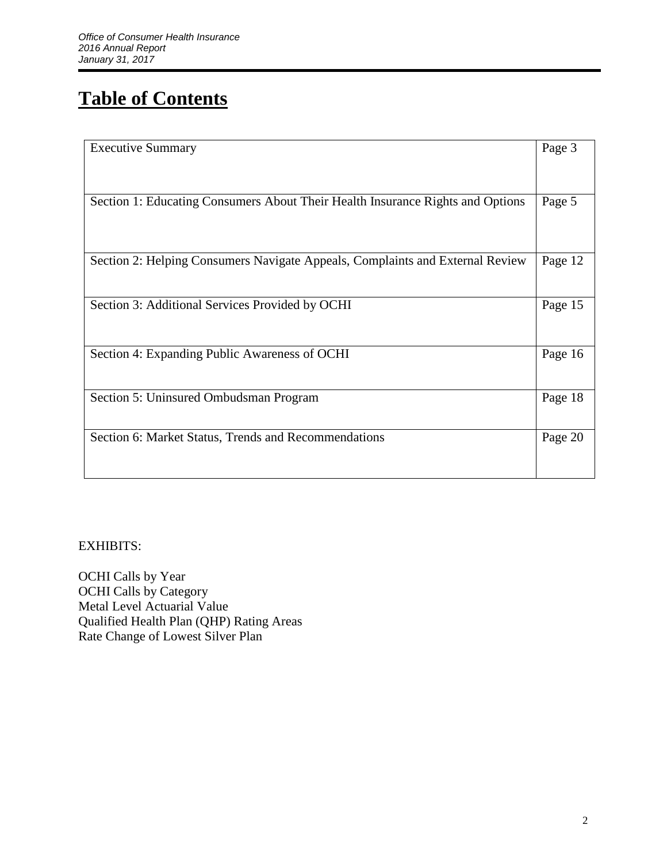# **Table of Contents**

| Page 3  |
|---------|
|         |
| Page 5  |
|         |
| Page 12 |
|         |
| Page 15 |
|         |
| Page 16 |
|         |
| Page 18 |
|         |
| Page 20 |
|         |
|         |

EXHIBITS:

OCHI Calls by Year OCHI Calls by Category Metal Level Actuarial Value Qualified Health Plan (QHP) Rating Areas Rate Change of Lowest Silver Plan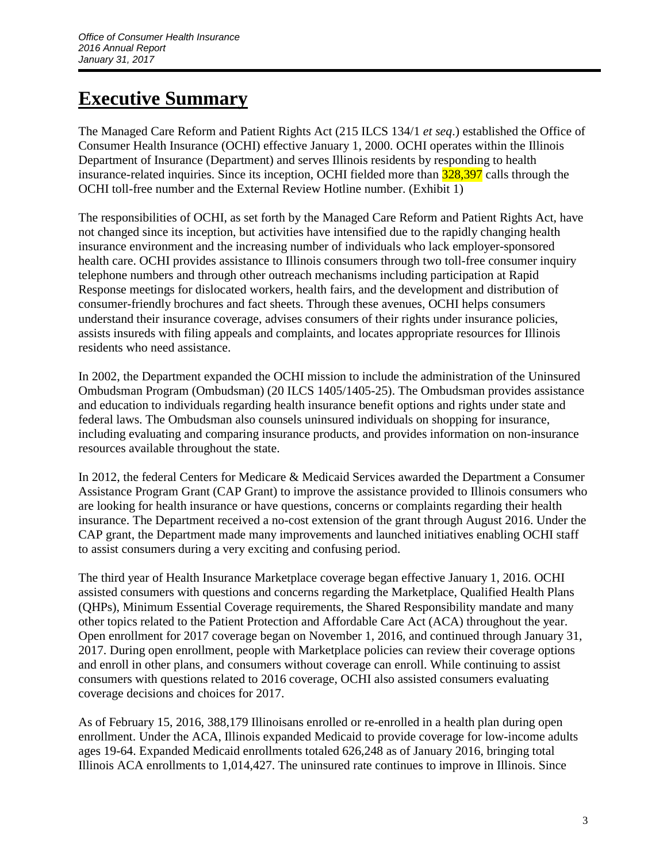## **Executive Summary**

The Managed Care Reform and Patient Rights Act (215 ILCS 134/1 *et seq*.) established the Office of Consumer Health Insurance (OCHI) effective January 1, 2000. OCHI operates within the Illinois Department of Insurance (Department) and serves Illinois residents by responding to health insurance-related inquiries. Since its inception, OCHI fielded more than  $\frac{328,397}{2}$  calls through the OCHI toll-free number and the External Review Hotline number. (Exhibit 1)

The responsibilities of OCHI, as set forth by the Managed Care Reform and Patient Rights Act, have not changed since its inception, but activities have intensified due to the rapidly changing health insurance environment and the increasing number of individuals who lack employer-sponsored health care. OCHI provides assistance to Illinois consumers through two toll-free consumer inquiry telephone numbers and through other outreach mechanisms including participation at Rapid Response meetings for dislocated workers, health fairs, and the development and distribution of consumer-friendly brochures and fact sheets. Through these avenues, OCHI helps consumers understand their insurance coverage, advises consumers of their rights under insurance policies, assists insureds with filing appeals and complaints, and locates appropriate resources for Illinois residents who need assistance.

In 2002, the Department expanded the OCHI mission to include the administration of the Uninsured Ombudsman Program (Ombudsman) (20 ILCS 1405/1405-25). The Ombudsman provides assistance and education to individuals regarding health insurance benefit options and rights under state and federal laws. The Ombudsman also counsels uninsured individuals on shopping for insurance, including evaluating and comparing insurance products, and provides information on non-insurance resources available throughout the state.

In 2012, the federal Centers for Medicare & Medicaid Services awarded the Department a Consumer Assistance Program Grant (CAP Grant) to improve the assistance provided to Illinois consumers who are looking for health insurance or have questions, concerns or complaints regarding their health insurance. The Department received a no-cost extension of the grant through August 2016. Under the CAP grant, the Department made many improvements and launched initiatives enabling OCHI staff to assist consumers during a very exciting and confusing period.

The third year of Health Insurance Marketplace coverage began effective January 1, 2016. OCHI assisted consumers with questions and concerns regarding the Marketplace, Qualified Health Plans (QHPs), Minimum Essential Coverage requirements, the Shared Responsibility mandate and many other topics related to the Patient Protection and Affordable Care Act (ACA) throughout the year. Open enrollment for 2017 coverage began on November 1, 2016, and continued through January 31, 2017. During open enrollment, people with Marketplace policies can review their coverage options and enroll in other plans, and consumers without coverage can enroll. While continuing to assist consumers with questions related to 2016 coverage, OCHI also assisted consumers evaluating coverage decisions and choices for 2017.

As of February 15, 2016, 388,179 Illinoisans enrolled or re-enrolled in a health plan during open enrollment. Under the ACA, Illinois expanded Medicaid to provide coverage for low-income adults ages 19-64. Expanded Medicaid enrollments totaled 626,248 as of January 2016, bringing total Illinois ACA enrollments to 1,014,427. The uninsured rate continues to improve in Illinois. Since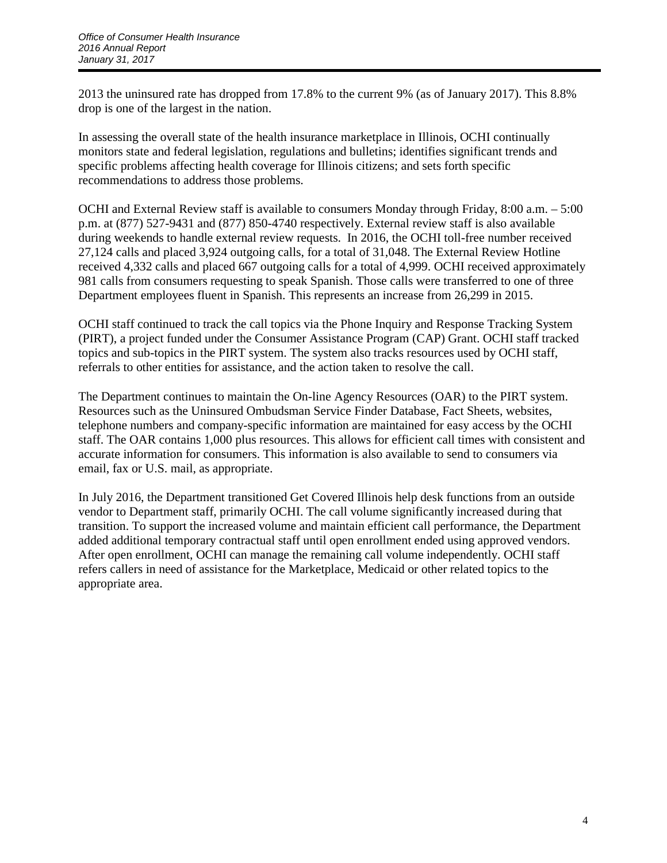2013 the uninsured rate has dropped from 17.8% to the current 9% (as of January 2017). This 8.8% drop is one of the largest in the nation.

In assessing the overall state of the health insurance marketplace in Illinois, OCHI continually monitors state and federal legislation, regulations and bulletins; identifies significant trends and specific problems affecting health coverage for Illinois citizens; and sets forth specific recommendations to address those problems.

OCHI and External Review staff is available to consumers Monday through Friday, 8:00 a.m. – 5:00 p.m. at (877) 527-9431 and (877) 850-4740 respectively. External review staff is also available during weekends to handle external review requests. In 2016, the OCHI toll-free number received 27,124 calls and placed 3,924 outgoing calls, for a total of 31,048. The External Review Hotline received 4,332 calls and placed 667 outgoing calls for a total of 4,999. OCHI received approximately 981 calls from consumers requesting to speak Spanish. Those calls were transferred to one of three Department employees fluent in Spanish. This represents an increase from 26,299 in 2015.

OCHI staff continued to track the call topics via the Phone Inquiry and Response Tracking System (PIRT), a project funded under the Consumer Assistance Program (CAP) Grant. OCHI staff tracked topics and sub-topics in the PIRT system. The system also tracks resources used by OCHI staff, referrals to other entities for assistance, and the action taken to resolve the call.

The Department continues to maintain the On-line Agency Resources (OAR) to the PIRT system. Resources such as the Uninsured Ombudsman Service Finder Database, Fact Sheets, websites, telephone numbers and company-specific information are maintained for easy access by the OCHI staff. The OAR contains 1,000 plus resources. This allows for efficient call times with consistent and accurate information for consumers. This information is also available to send to consumers via email, fax or U.S. mail, as appropriate.

In July 2016, the Department transitioned Get Covered Illinois help desk functions from an outside vendor to Department staff, primarily OCHI. The call volume significantly increased during that transition. To support the increased volume and maintain efficient call performance, the Department added additional temporary contractual staff until open enrollment ended using approved vendors. After open enrollment, OCHI can manage the remaining call volume independently. OCHI staff refers callers in need of assistance for the Marketplace, Medicaid or other related topics to the appropriate area.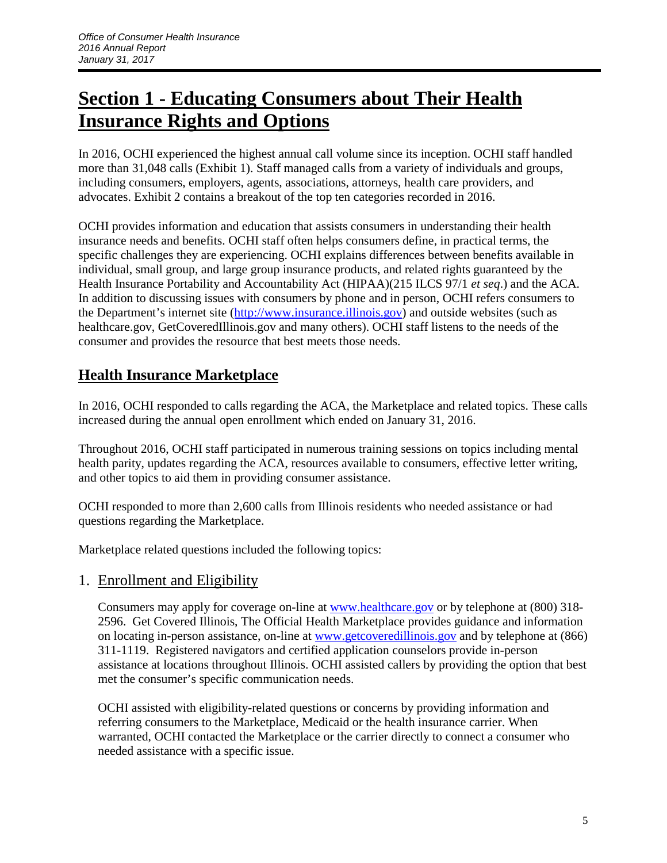# **Section 1 - Educating Consumers about Their Health Insurance Rights and Options**

In 2016, OCHI experienced the highest annual call volume since its inception. OCHI staff handled more than 31,048 calls (Exhibit 1). Staff managed calls from a variety of individuals and groups, including consumers, employers, agents, associations, attorneys, health care providers, and advocates. Exhibit 2 contains a breakout of the top ten categories recorded in 2016.

OCHI provides information and education that assists consumers in understanding their health insurance needs and benefits. OCHI staff often helps consumers define, in practical terms, the specific challenges they are experiencing. OCHI explains differences between benefits available in individual, small group, and large group insurance products, and related rights guaranteed by the Health Insurance Portability and Accountability Act (HIPAA)(215 ILCS 97/1 *et seq*.) and the ACA. In addition to discussing issues with consumers by phone and in person, OCHI refers consumers to the Department's internet site [\(http://www.insurance.illinois.gov\)](http://www.insurance.illinois.gov/) and outside websites (such as healthcare.gov, GetCoveredIllinois.gov and many others). OCHI staff listens to the needs of the consumer and provides the resource that best meets those needs.

## **Health Insurance Marketplace**

In 2016, OCHI responded to calls regarding the ACA, the Marketplace and related topics. These calls increased during the annual open enrollment which ended on January 31, 2016.

Throughout 2016, OCHI staff participated in numerous training sessions on topics including mental health parity, updates regarding the ACA, resources available to consumers, effective letter writing, and other topics to aid them in providing consumer assistance.

OCHI responded to more than 2,600 calls from Illinois residents who needed assistance or had questions regarding the Marketplace.

Marketplace related questions included the following topics:

### 1. Enrollment and Eligibility

Consumers may apply for coverage on-line at [www.healthcare.gov](http://www.healthcare.gov/) or by telephone at (800) 318-2596. Get Covered Illinois, The Official Health Marketplace provides guidance and information on locating in-person assistance, on-line at [www.getcoveredillinois.gov](http://www.getcoveredillinois.gov/) and by telephone at (866) 311-1119. Registered navigators and certified application counselors provide in-person assistance at locations throughout Illinois. OCHI assisted callers by providing the option that best met the consumer's specific communication needs.

OCHI assisted with eligibility-related questions or concerns by providing information and referring consumers to the Marketplace, Medicaid or the health insurance carrier. When warranted, OCHI contacted the Marketplace or the carrier directly to connect a consumer who needed assistance with a specific issue.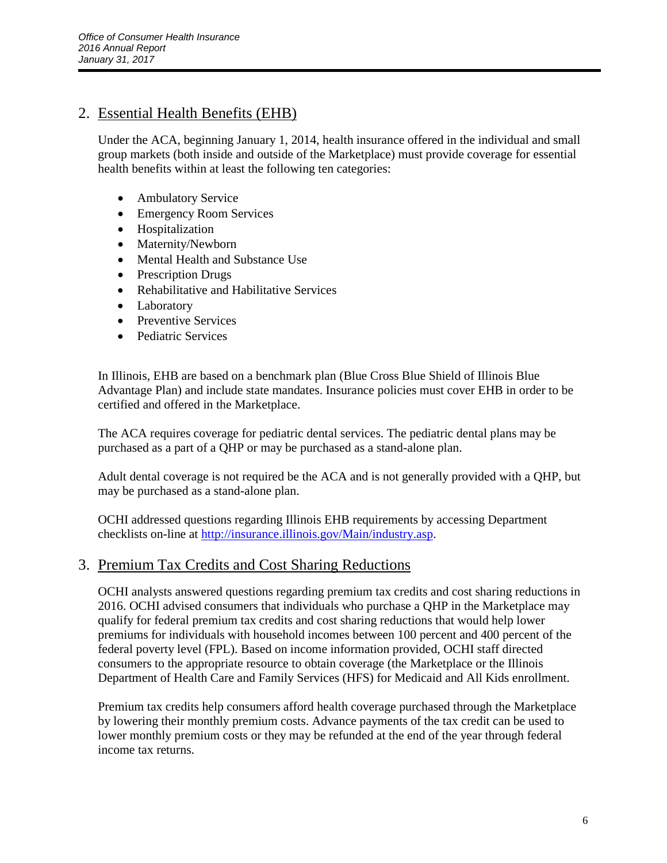## 2. Essential Health Benefits (EHB)

Under the ACA, beginning January 1, 2014, health insurance offered in the individual and small group markets (both inside and outside of the Marketplace) must provide coverage for essential health benefits within at least the following ten categories:

- Ambulatory Service
- Emergency Room Services
- Hospitalization
- Maternity/Newborn
- Mental Health and Substance Use
- Prescription Drugs
- Rehabilitative and Habilitative Services
- Laboratory
- Preventive Services
- Pediatric Services

In Illinois, EHB are based on a benchmark plan (Blue Cross Blue Shield of Illinois Blue Advantage Plan) and include state mandates. Insurance policies must cover EHB in order to be certified and offered in the Marketplace.

The ACA requires coverage for pediatric dental services. The pediatric dental plans may be purchased as a part of a QHP or may be purchased as a stand-alone plan.

Adult dental coverage is not required be the ACA and is not generally provided with a QHP, but may be purchased as a stand-alone plan.

OCHI addressed questions regarding Illinois EHB requirements by accessing Department checklists on-line at [http://insurance.illinois.gov/Main/industry.asp.](http://insurance.illinois.gov/Main/industry.asp)

### 3. Premium Tax Credits and Cost Sharing Reductions

OCHI analysts answered questions regarding premium tax credits and cost sharing reductions in 2016. OCHI advised consumers that individuals who purchase a QHP in the Marketplace may qualify for federal premium tax credits and cost sharing reductions that would help lower premiums for individuals with household incomes between 100 percent and 400 percent of the federal poverty level (FPL). Based on income information provided, OCHI staff directed consumers to the appropriate resource to obtain coverage (the Marketplace or the Illinois Department of Health Care and Family Services (HFS) for Medicaid and All Kids enrollment.

Premium tax credits help consumers afford health coverage purchased through the Marketplace by lowering their monthly premium costs. Advance payments of the tax credit can be used to lower monthly premium costs or they may be refunded at the end of the year through federal income tax returns.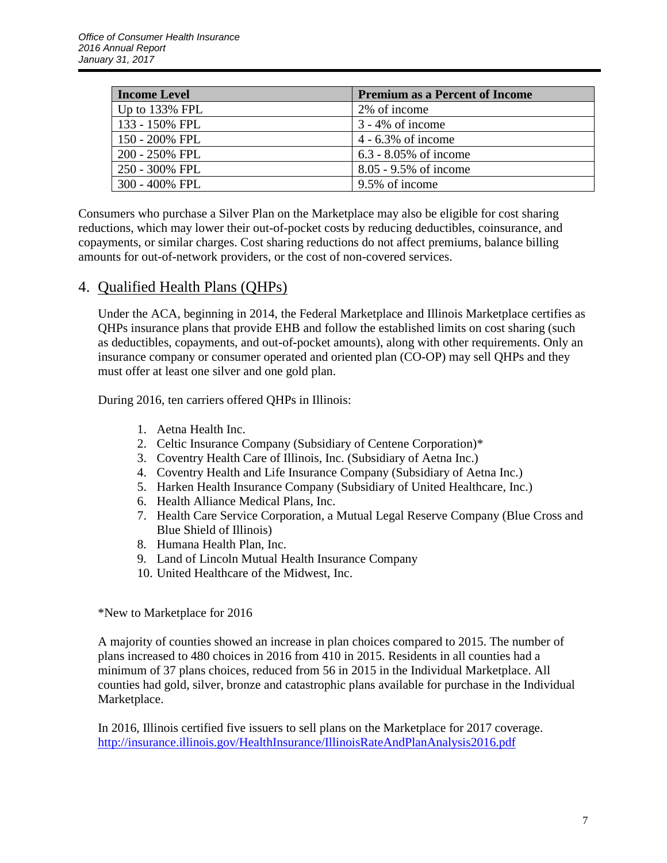| <b>Income Level</b> | <b>Premium as a Percent of Income</b> |
|---------------------|---------------------------------------|
| Up to $133\%$ FPL   | 2% of income                          |
| 133 - 150% FPL      | $3 - 4\%$ of income                   |
| 150 - 200% FPL      | $4 - 6.3\%$ of income                 |
| 200 - 250% FPL      | 6.3 - $8.05\%$ of income              |
| 250 - 300% FPL      | 8.05 - 9.5% of income                 |
| 300 - 400% FPL      | 9.5% of income                        |

Consumers who purchase a Silver Plan on the Marketplace may also be eligible for cost sharing reductions, which may lower their out-of-pocket costs by reducing deductibles, coinsurance, and copayments, or similar charges. Cost sharing reductions do not affect premiums, balance billing amounts for out-of-network providers, or the cost of non-covered services.

### 4. Qualified Health Plans (QHPs)

Under the ACA, beginning in 2014, the Federal Marketplace and Illinois Marketplace certifies as QHPs insurance plans that provide EHB and follow the established limits on cost sharing (such as deductibles, copayments, and out-of-pocket amounts), along with other requirements. Only an insurance company or consumer operated and oriented plan (CO-OP) may sell QHPs and they must offer at least one silver and one gold plan.

During 2016, ten carriers offered QHPs in Illinois:

- 1. Aetna Health Inc.
- 2. Celtic Insurance Company (Subsidiary of Centene Corporation)\*
- 3. Coventry Health Care of Illinois, Inc. (Subsidiary of Aetna Inc.)
- 4. Coventry Health and Life Insurance Company (Subsidiary of Aetna Inc.)
- 5. Harken Health Insurance Company (Subsidiary of United Healthcare, Inc.)
- 6. Health Alliance Medical Plans, Inc.
- 7. Health Care Service Corporation, a Mutual Legal Reserve Company (Blue Cross and Blue Shield of Illinois)
- 8. Humana Health Plan, Inc.
- 9. Land of Lincoln Mutual Health Insurance Company
- 10. United Healthcare of the Midwest, Inc.

\*New to Marketplace for 2016

A majority of counties showed an increase in plan choices compared to 2015. The number of plans increased to 480 choices in 2016 from 410 in 2015. Residents in all counties had a minimum of 37 plans choices, reduced from 56 in 2015 in the Individual Marketplace. All counties had gold, silver, bronze and catastrophic plans available for purchase in the Individual Marketplace.

In 2016, Illinois certified five issuers to sell plans on the Marketplace for 2017 coverage. <http://insurance.illinois.gov/HealthInsurance/IllinoisRateAndPlanAnalysis2016.pdf>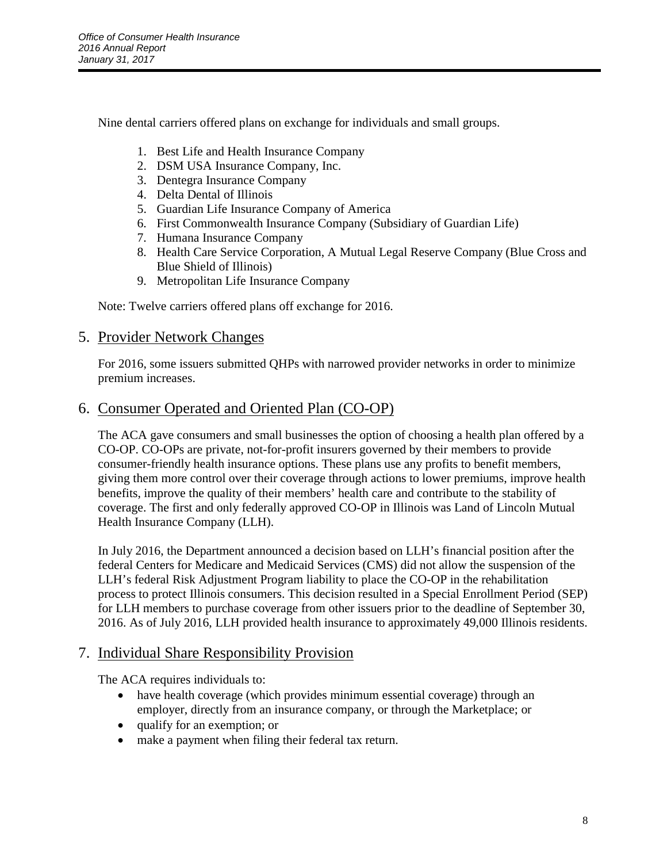Nine dental carriers offered plans on exchange for individuals and small groups.

- 1. Best Life and Health Insurance Company
- 2. DSM USA Insurance Company, Inc.
- 3. Dentegra Insurance Company
- 4. Delta Dental of Illinois
- 5. Guardian Life Insurance Company of America
- 6. First Commonwealth Insurance Company (Subsidiary of Guardian Life)
- 7. Humana Insurance Company
- 8. Health Care Service Corporation, A Mutual Legal Reserve Company (Blue Cross and Blue Shield of Illinois)
- 9. Metropolitan Life Insurance Company

Note: Twelve carriers offered plans off exchange for 2016.

### 5. Provider Network Changes

For 2016, some issuers submitted QHPs with narrowed provider networks in order to minimize premium increases.

### 6. Consumer Operated and Oriented Plan (CO-OP)

The ACA gave consumers and small businesses the option of choosing a health plan offered by a CO-OP. CO-OPs are private, not-for-profit insurers governed by their members to provide consumer-friendly health insurance options. These plans use any profits to benefit members, giving them more control over their coverage through actions to lower premiums, improve health benefits, improve the quality of their members' health care and contribute to the stability of coverage. The first and only federally approved CO-OP in Illinois was Land of Lincoln Mutual Health Insurance Company (LLH).

In July 2016, the Department announced a decision based on LLH's financial position after the federal Centers for Medicare and Medicaid Services (CMS) did not allow the suspension of the LLH's federal Risk Adjustment Program liability to place the CO-OP in the rehabilitation process to protect Illinois consumers. This decision resulted in a Special Enrollment Period (SEP) for LLH members to purchase coverage from other issuers prior to the deadline of September 30, 2016. As of July 2016, LLH provided health insurance to approximately 49,000 Illinois residents.

### 7. Individual Share Responsibility Provision

The ACA requires individuals to:

- have health coverage (which provides minimum essential coverage) through an employer, directly from an insurance company, or through the Marketplace; or
- qualify for an exemption; or
- make a payment when filing their federal tax return.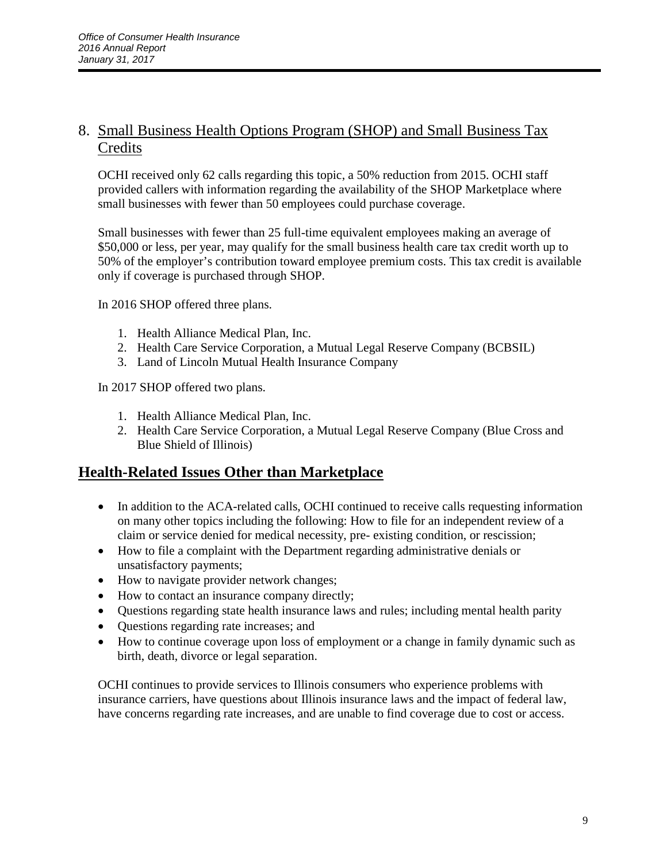## 8. Small Business Health Options Program (SHOP) and Small Business Tax Credits

OCHI received only 62 calls regarding this topic, a 50% reduction from 2015. OCHI staff provided callers with information regarding the availability of the SHOP Marketplace where small businesses with fewer than 50 employees could purchase coverage.

Small businesses with fewer than 25 full-time equivalent employees making an average of \$50,000 or less, per year, may qualify for the small business health care tax credit worth up to 50% of the employer's contribution toward employee premium costs. This tax credit is available only if coverage is purchased through SHOP.

In 2016 SHOP offered three plans.

- 1. Health Alliance Medical Plan, Inc.
- 2. Health Care Service Corporation, a Mutual Legal Reserve Company (BCBSIL)
- 3. Land of Lincoln Mutual Health Insurance Company

In 2017 SHOP offered two plans.

- 1. Health Alliance Medical Plan, Inc.
- 2. Health Care Service Corporation, a Mutual Legal Reserve Company (Blue Cross and Blue Shield of Illinois)

### **Health-Related Issues Other than Marketplace**

- In addition to the ACA-related calls, OCHI continued to receive calls requesting information on many other topics including the following: How to file for an independent review of a claim or service denied for medical necessity, pre- existing condition, or rescission;
- How to file a complaint with the Department regarding administrative denials or unsatisfactory payments;
- How to navigate provider network changes;
- How to contact an insurance company directly;
- Questions regarding state health insurance laws and rules; including mental health parity
- Questions regarding rate increases; and
- How to continue coverage upon loss of employment or a change in family dynamic such as birth, death, divorce or legal separation.

OCHI continues to provide services to Illinois consumers who experience problems with insurance carriers, have questions about Illinois insurance laws and the impact of federal law, have concerns regarding rate increases, and are unable to find coverage due to cost or access.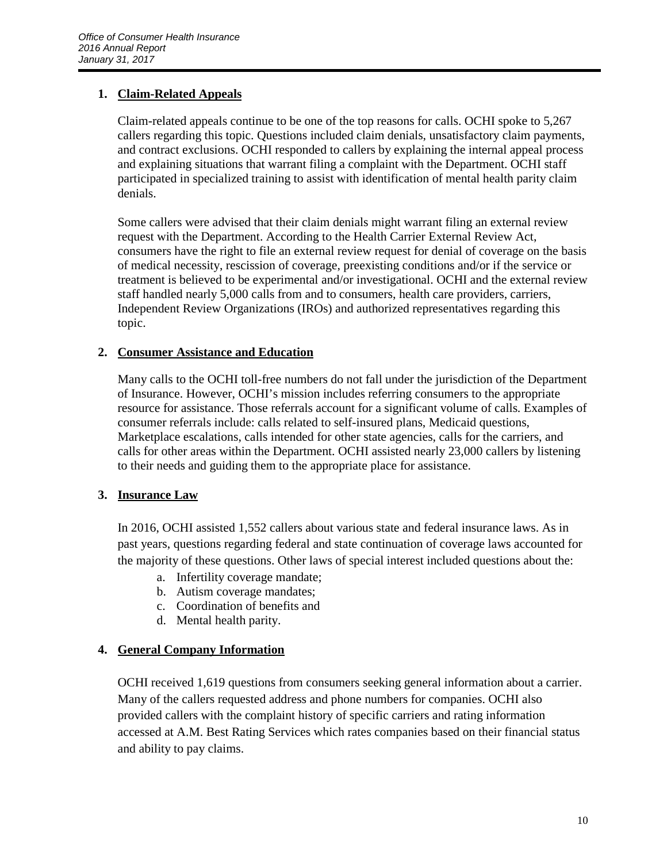### **1. Claim-Related Appeals**

Claim-related appeals continue to be one of the top reasons for calls. OCHI spoke to 5,267 callers regarding this topic. Questions included claim denials, unsatisfactory claim payments, and contract exclusions. OCHI responded to callers by explaining the internal appeal process and explaining situations that warrant filing a complaint with the Department. OCHI staff participated in specialized training to assist with identification of mental health parity claim denials.

Some callers were advised that their claim denials might warrant filing an external review request with the Department. According to the Health Carrier External Review Act, consumers have the right to file an external review request for denial of coverage on the basis of medical necessity, rescission of coverage, preexisting conditions and/or if the service or treatment is believed to be experimental and/or investigational. OCHI and the external review staff handled nearly 5,000 calls from and to consumers, health care providers, carriers, Independent Review Organizations (IROs) and authorized representatives regarding this topic.

### **2. Consumer Assistance and Education**

Many calls to the OCHI toll-free numbers do not fall under the jurisdiction of the Department of Insurance. However, OCHI's mission includes referring consumers to the appropriate resource for assistance. Those referrals account for a significant volume of calls. Examples of consumer referrals include: calls related to self-insured plans, Medicaid questions, Marketplace escalations, calls intended for other state agencies, calls for the carriers, and calls for other areas within the Department. OCHI assisted nearly 23,000 callers by listening to their needs and guiding them to the appropriate place for assistance.

### **3. Insurance Law**

In 2016, OCHI assisted 1,552 callers about various state and federal insurance laws. As in past years, questions regarding federal and state continuation of coverage laws accounted for the majority of these questions. Other laws of special interest included questions about the:

- a. Infertility coverage mandate;
- b. Autism coverage mandates;
- c. Coordination of benefits and
- d. Mental health parity.

### **4. General Company Information**

OCHI received 1,619 questions from consumers seeking general information about a carrier. Many of the callers requested address and phone numbers for companies. OCHI also provided callers with the complaint history of specific carriers and rating information accessed at A.M. Best Rating Services which rates companies based on their financial status and ability to pay claims.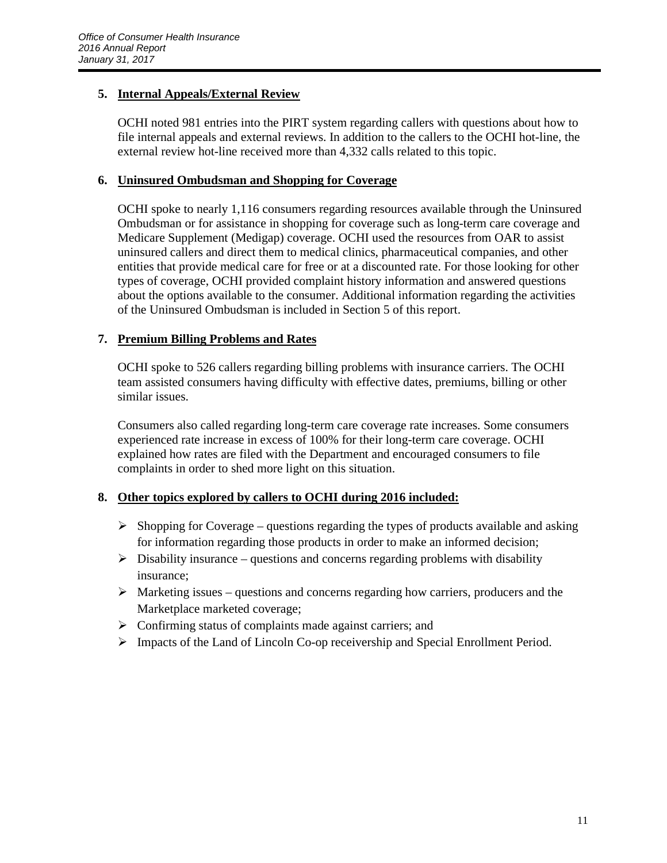### **5. Internal Appeals/External Review**

OCHI noted 981 entries into the PIRT system regarding callers with questions about how to file internal appeals and external reviews. In addition to the callers to the OCHI hot-line, the external review hot-line received more than 4,332 calls related to this topic.

### **6. Uninsured Ombudsman and Shopping for Coverage**

OCHI spoke to nearly 1,116 consumers regarding resources available through the Uninsured Ombudsman or for assistance in shopping for coverage such as long-term care coverage and Medicare Supplement (Medigap) coverage. OCHI used the resources from OAR to assist uninsured callers and direct them to medical clinics, pharmaceutical companies, and other entities that provide medical care for free or at a discounted rate. For those looking for other types of coverage, OCHI provided complaint history information and answered questions about the options available to the consumer. Additional information regarding the activities of the Uninsured Ombudsman is included in Section 5 of this report.

### **7. Premium Billing Problems and Rates**

OCHI spoke to 526 callers regarding billing problems with insurance carriers. The OCHI team assisted consumers having difficulty with effective dates, premiums, billing or other similar issues.

Consumers also called regarding long-term care coverage rate increases. Some consumers experienced rate increase in excess of 100% for their long-term care coverage. OCHI explained how rates are filed with the Department and encouraged consumers to file complaints in order to shed more light on this situation.

### **8. Other topics explored by callers to OCHI during 2016 included:**

- $\triangleright$  Shopping for Coverage questions regarding the types of products available and asking for information regarding those products in order to make an informed decision;
- $\triangleright$  Disability insurance questions and concerns regarding problems with disability insurance;
- $\triangleright$  Marketing issues questions and concerns regarding how carriers, producers and the Marketplace marketed coverage;
- $\triangleright$  Confirming status of complaints made against carriers; and
- $\triangleright$  Impacts of the Land of Lincoln Co-op receivership and Special Enrollment Period.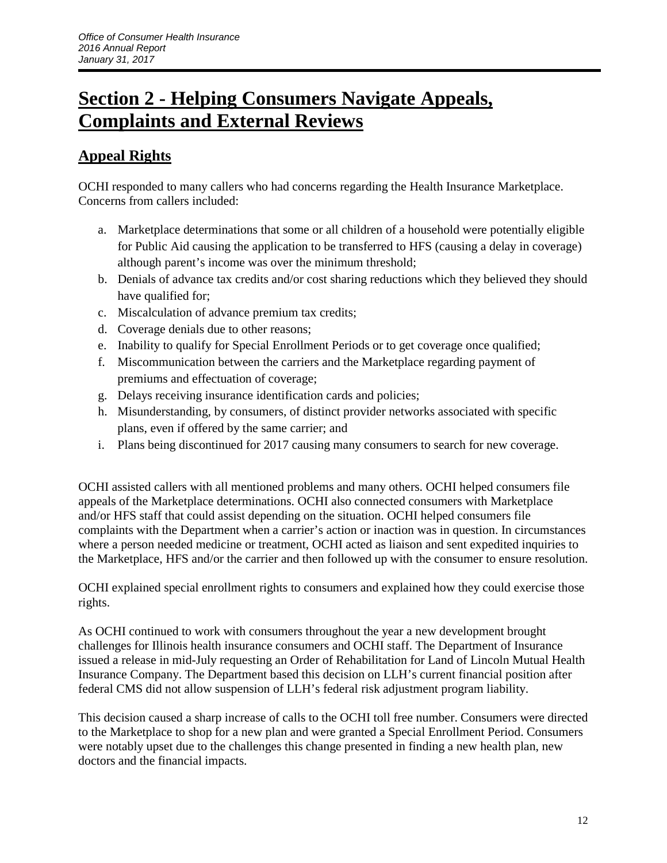## **Section 2 - Helping Consumers Navigate Appeals, Complaints and External Reviews**

## **Appeal Rights**

OCHI responded to many callers who had concerns regarding the Health Insurance Marketplace. Concerns from callers included:

- a. Marketplace determinations that some or all children of a household were potentially eligible for Public Aid causing the application to be transferred to HFS (causing a delay in coverage) although parent's income was over the minimum threshold;
- b. Denials of advance tax credits and/or cost sharing reductions which they believed they should have qualified for;
- c. Miscalculation of advance premium tax credits;
- d. Coverage denials due to other reasons;
- e. Inability to qualify for Special Enrollment Periods or to get coverage once qualified;
- f. Miscommunication between the carriers and the Marketplace regarding payment of premiums and effectuation of coverage;
- g. Delays receiving insurance identification cards and policies;
- h. Misunderstanding, by consumers, of distinct provider networks associated with specific plans, even if offered by the same carrier; and
- i. Plans being discontinued for 2017 causing many consumers to search for new coverage.

OCHI assisted callers with all mentioned problems and many others. OCHI helped consumers file appeals of the Marketplace determinations. OCHI also connected consumers with Marketplace and/or HFS staff that could assist depending on the situation. OCHI helped consumers file complaints with the Department when a carrier's action or inaction was in question. In circumstances where a person needed medicine or treatment, OCHI acted as liaison and sent expedited inquiries to the Marketplace, HFS and/or the carrier and then followed up with the consumer to ensure resolution.

OCHI explained special enrollment rights to consumers and explained how they could exercise those rights.

As OCHI continued to work with consumers throughout the year a new development brought challenges for Illinois health insurance consumers and OCHI staff. The Department of Insurance issued a release in mid-July requesting an Order of Rehabilitation for Land of Lincoln Mutual Health Insurance Company. The Department based this decision on LLH's current financial position after federal CMS did not allow suspension of LLH's federal risk adjustment program liability.

This decision caused a sharp increase of calls to the OCHI toll free number. Consumers were directed to the Marketplace to shop for a new plan and were granted a Special Enrollment Period. Consumers were notably upset due to the challenges this change presented in finding a new health plan, new doctors and the financial impacts.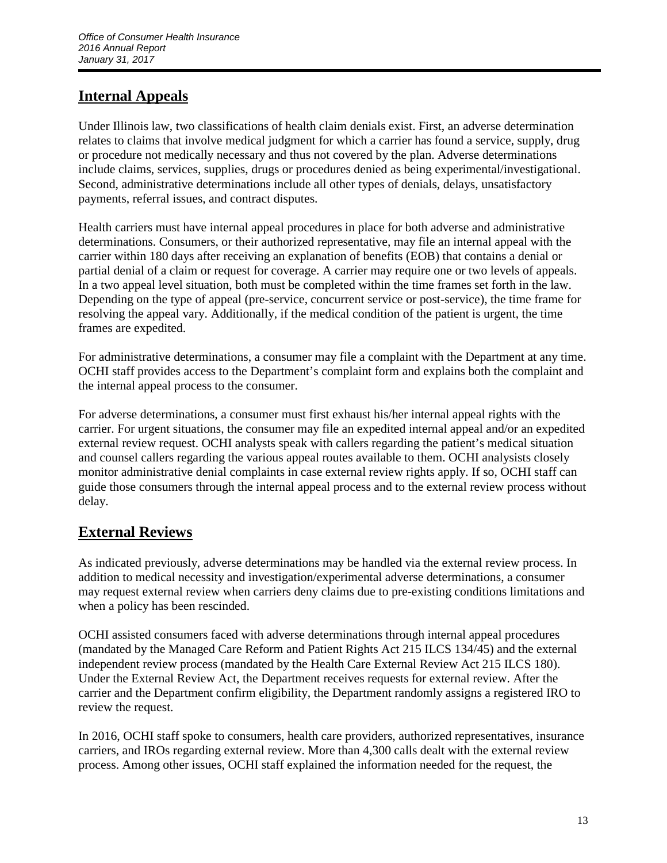## **Internal Appeals**

Under Illinois law, two classifications of health claim denials exist. First, an adverse determination relates to claims that involve medical judgment for which a carrier has found a service, supply, drug or procedure not medically necessary and thus not covered by the plan. Adverse determinations include claims, services, supplies, drugs or procedures denied as being experimental/investigational. Second, administrative determinations include all other types of denials, delays, unsatisfactory payments, referral issues, and contract disputes.

Health carriers must have internal appeal procedures in place for both adverse and administrative determinations. Consumers, or their authorized representative, may file an internal appeal with the carrier within 180 days after receiving an explanation of benefits (EOB) that contains a denial or partial denial of a claim or request for coverage. A carrier may require one or two levels of appeals. In a two appeal level situation, both must be completed within the time frames set forth in the law. Depending on the type of appeal (pre-service, concurrent service or post-service), the time frame for resolving the appeal vary. Additionally, if the medical condition of the patient is urgent, the time frames are expedited.

For administrative determinations, a consumer may file a complaint with the Department at any time. OCHI staff provides access to the Department's complaint form and explains both the complaint and the internal appeal process to the consumer.

For adverse determinations, a consumer must first exhaust his/her internal appeal rights with the carrier. For urgent situations, the consumer may file an expedited internal appeal and/or an expedited external review request. OCHI analysts speak with callers regarding the patient's medical situation and counsel callers regarding the various appeal routes available to them. OCHI analysists closely monitor administrative denial complaints in case external review rights apply. If so, OCHI staff can guide those consumers through the internal appeal process and to the external review process without delay.

## **External Reviews**

As indicated previously, adverse determinations may be handled via the external review process. In addition to medical necessity and investigation/experimental adverse determinations, a consumer may request external review when carriers deny claims due to pre-existing conditions limitations and when a policy has been rescinded.

OCHI assisted consumers faced with adverse determinations through internal appeal procedures (mandated by the Managed Care Reform and Patient Rights Act 215 ILCS 134/45) and the external independent review process (mandated by the Health Care External Review Act 215 ILCS 180). Under the External Review Act, the Department receives requests for external review. After the carrier and the Department confirm eligibility, the Department randomly assigns a registered IRO to review the request.

In 2016, OCHI staff spoke to consumers, health care providers, authorized representatives, insurance carriers, and IROs regarding external review. More than 4,300 calls dealt with the external review process. Among other issues, OCHI staff explained the information needed for the request, the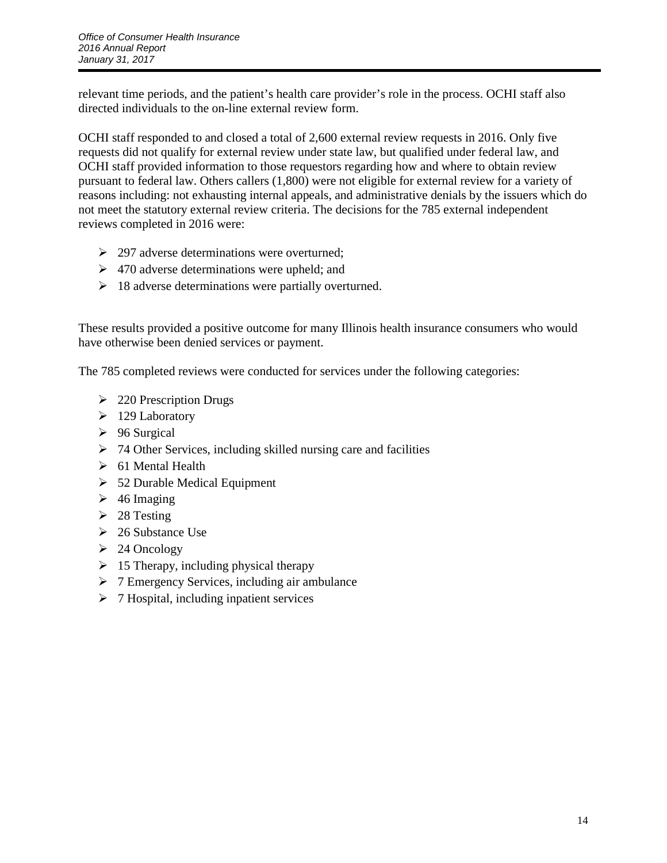relevant time periods, and the patient's health care provider's role in the process. OCHI staff also directed individuals to the on-line external review form.

OCHI staff responded to and closed a total of 2,600 external review requests in 2016. Only five requests did not qualify for external review under state law, but qualified under federal law, and OCHI staff provided information to those requestors regarding how and where to obtain review pursuant to federal law. Others callers (1,800) were not eligible for external review for a variety of reasons including: not exhausting internal appeals, and administrative denials by the issuers which do not meet the statutory external review criteria. The decisions for the 785 external independent reviews completed in 2016 were:

- $\geq$  297 adverse determinations were overturned;
- $\geq 470$  adverse determinations were upheld; and
- $\geq$  18 adverse determinations were partially overturned.

These results provided a positive outcome for many Illinois health insurance consumers who would have otherwise been denied services or payment.

The 785 completed reviews were conducted for services under the following categories:

- $\geq 220$  Prescription Drugs
- $\geq 129$  Laboratory
- $\geq 96$  Surgical
- $\geq$  74 Other Services, including skilled nursing care and facilities
- $\geq$  61 Mental Health
- $>$  52 Durable Medical Equipment
- $\geq 46$  Imaging
- $\geq 28$  Testing
- $\geq 26$  Substance Use
- $\geq 24$  Oncology
- $\geq 15$  Therapy, including physical therapy
- $\triangleright$  7 Emergency Services, including air ambulance
- $\triangleright$  7 Hospital, including inpatient services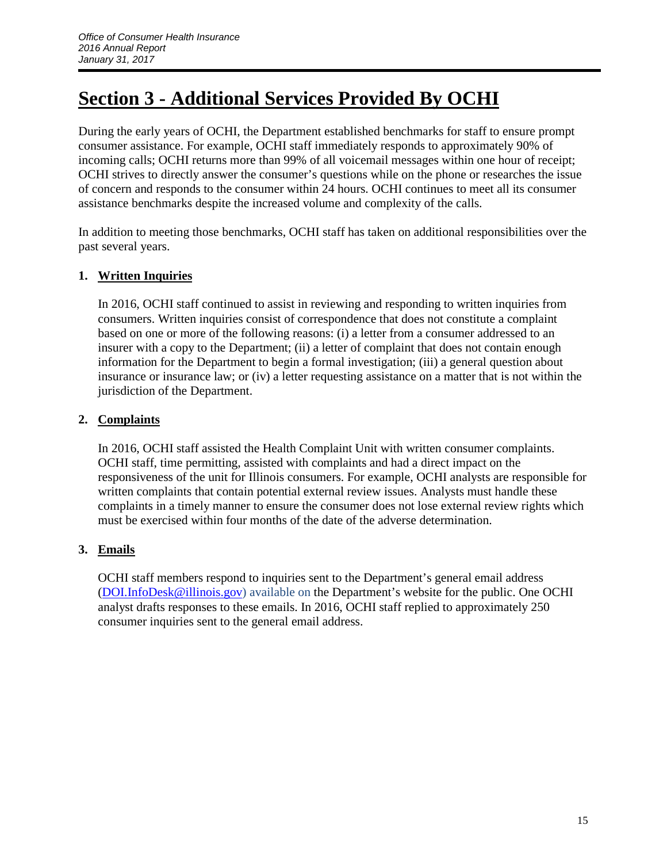## **Section 3 - Additional Services Provided By OCHI**

During the early years of OCHI, the Department established benchmarks for staff to ensure prompt consumer assistance. For example, OCHI staff immediately responds to approximately 90% of incoming calls; OCHI returns more than 99% of all voicemail messages within one hour of receipt; OCHI strives to directly answer the consumer's questions while on the phone or researches the issue of concern and responds to the consumer within 24 hours. OCHI continues to meet all its consumer assistance benchmarks despite the increased volume and complexity of the calls.

In addition to meeting those benchmarks, OCHI staff has taken on additional responsibilities over the past several years.

### **1. Written Inquiries**

In 2016, OCHI staff continued to assist in reviewing and responding to written inquiries from consumers. Written inquiries consist of correspondence that does not constitute a complaint based on one or more of the following reasons: (i) a letter from a consumer addressed to an insurer with a copy to the Department; (ii) a letter of complaint that does not contain enough information for the Department to begin a formal investigation; (iii) a general question about insurance or insurance law; or (iv) a letter requesting assistance on a matter that is not within the jurisdiction of the Department.

### **2. Complaints**

In 2016, OCHI staff assisted the Health Complaint Unit with written consumer complaints. OCHI staff, time permitting, assisted with complaints and had a direct impact on the responsiveness of the unit for Illinois consumers. For example, OCHI analysts are responsible for written complaints that contain potential external review issues. Analysts must handle these complaints in a timely manner to ensure the consumer does not lose external review rights which must be exercised within four months of the date of the adverse determination.

### **3. Emails**

OCHI staff members respond to inquiries sent to the Department's general email address [\(DOI.InfoDesk@illinois.gov\)](mailto:DOI.InfoDesk@illinois.gov) available on the Department's website for the public. One OCHI analyst drafts responses to these emails. In 2016, OCHI staff replied to approximately 250 consumer inquiries sent to the general email address.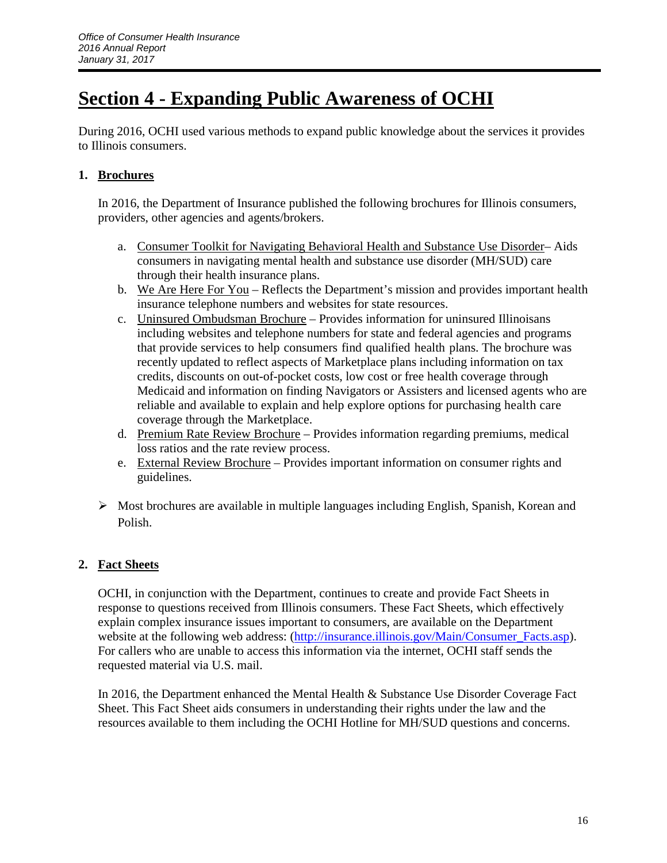## **Section 4 - Expanding Public Awareness of OCHI**

During 2016, OCHI used various methods to expand public knowledge about the services it provides to Illinois consumers.

### **1. Brochures**

In 2016, the Department of Insurance published the following brochures for Illinois consumers, providers, other agencies and agents/brokers.

- a. Consumer Toolkit for Navigating Behavioral Health and Substance Use Disorder– Aids consumers in navigating mental health and substance use disorder (MH/SUD) care through their health insurance plans.
- b. We Are Here For You Reflects the Department's mission and provides important health insurance telephone numbers and websites for state resources.
- c. Uninsured Ombudsman Brochure Provides information for uninsured Illinoisans including websites and telephone numbers for state and federal agencies and programs that provide services to help consumers find qualified health plans. The brochure was recently updated to reflect aspects of Marketplace plans including information on tax credits, discounts on out-of-pocket costs, low cost or free health coverage through Medicaid and information on finding Navigators or Assisters and licensed agents who are reliable and available to explain and help explore options for purchasing health care coverage through the Marketplace.
- d. Premium Rate Review Brochure Provides information regarding premiums, medical loss ratios and the rate review process.
- e. External Review Brochure Provides important information on consumer rights and guidelines.
- $\triangleright$  Most brochures are available in multiple languages including English, Spanish, Korean and Polish.

### **2. Fact Sheets**

OCHI, in conjunction with the Department, continues to create and provide Fact Sheets in response to questions received from Illinois consumers. These Fact Sheets, which effectively explain complex insurance issues important to consumers, are available on the Department website at the following web address: (http://insurance.illinois.gov/Main/Consumer Facts.asp). For callers who are unable to access this information via the internet, OCHI staff sends the requested material via U.S. mail.

In 2016, the Department enhanced the Mental Health & Substance Use Disorder Coverage Fact Sheet. This Fact Sheet aids consumers in understanding their rights under the law and the resources available to them including the OCHI Hotline for MH/SUD questions and concerns.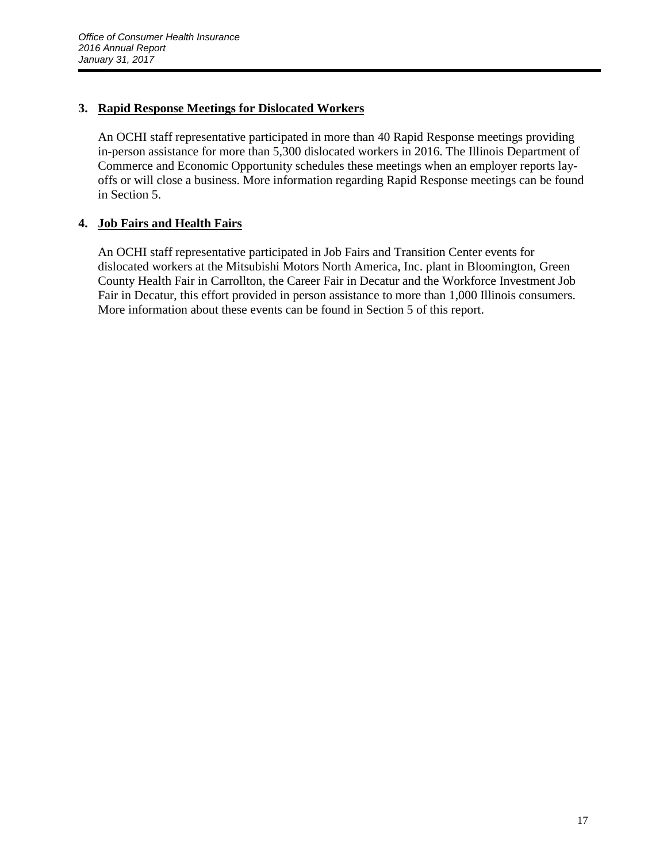### **3. Rapid Response Meetings for Dislocated Workers**

An OCHI staff representative participated in more than 40 Rapid Response meetings providing in-person assistance for more than 5,300 dislocated workers in 2016. The Illinois Department of Commerce and Economic Opportunity schedules these meetings when an employer reports layoffs or will close a business. More information regarding Rapid Response meetings can be found in Section 5.

### **4. Job Fairs and Health Fairs**

An OCHI staff representative participated in Job Fairs and Transition Center events for dislocated workers at the Mitsubishi Motors North America, Inc. plant in Bloomington, Green County Health Fair in Carrollton, the Career Fair in Decatur and the Workforce Investment Job Fair in Decatur, this effort provided in person assistance to more than 1,000 Illinois consumers. More information about these events can be found in Section 5 of this report.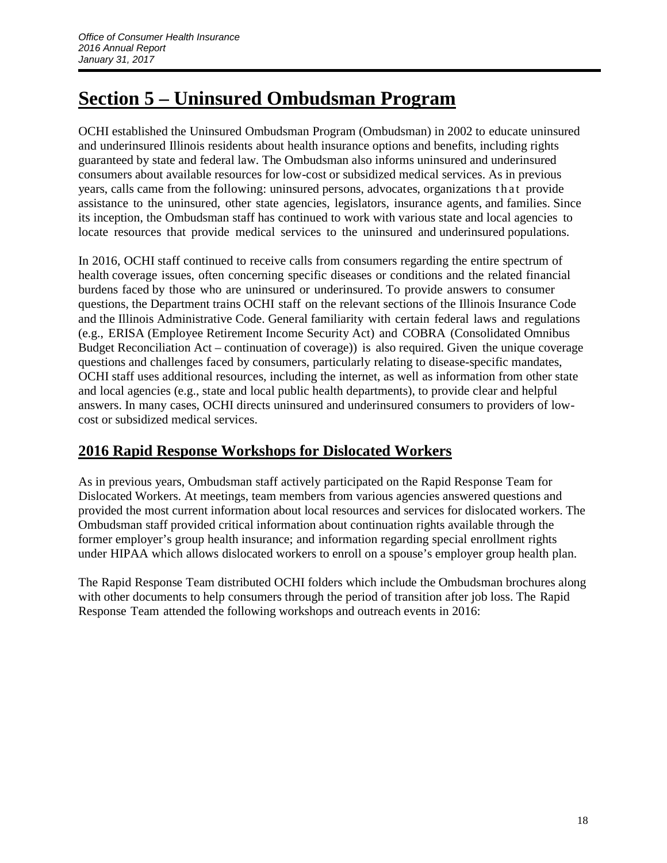## **Section 5 – Uninsured Ombudsman Program**

OCHI established the Uninsured Ombudsman Program (Ombudsman) in 2002 to educate uninsured and underinsured Illinois residents about health insurance options and benefits, including rights guaranteed by state and federal law. The Ombudsman also informs uninsured and underinsured consumers about available resources for low-cost or subsidized medical services. As in previous years, calls came from the following: uninsured persons, advocates, organizations that provide assistance to the uninsured, other state agencies, legislators, insurance agents, and families. Since its inception, the Ombudsman staff has continued to work with various state and local agencies to locate resources that provide medical services to the uninsured and underinsured populations.

In 2016, OCHI staff continued to receive calls from consumers regarding the entire spectrum of health coverage issues, often concerning specific diseases or conditions and the related financial burdens faced by those who are uninsured or underinsured. To provide answers to consumer questions, the Department trains OCHI staff on the relevant sections of the Illinois Insurance Code and the Illinois Administrative Code. General familiarity with certain federal laws and regulations (e.g., ERISA (Employee Retirement Income Security Act) and COBRA (Consolidated Omnibus Budget Reconciliation Act – continuation of coverage)) is also required. Given the unique coverage questions and challenges faced by consumers, particularly relating to disease-specific mandates, OCHI staff uses additional resources, including the internet, as well as information from other state and local agencies (e.g., state and local public health departments), to provide clear and helpful answers. In many cases, OCHI directs uninsured and underinsured consumers to providers of lowcost or subsidized medical services.

## **2016 Rapid Response Workshops for Dislocated Workers**

As in previous years, Ombudsman staff actively participated on the Rapid Response Team for Dislocated Workers. At meetings, team members from various agencies answered questions and provided the most current information about local resources and services for dislocated workers. The Ombudsman staff provided critical information about continuation rights available through the former employer's group health insurance; and information regarding special enrollment rights under HIPAA which allows dislocated workers to enroll on a spouse's employer group health plan.

The Rapid Response Team distributed OCHI folders which include the Ombudsman brochures along with other documents to help consumers through the period of transition after job loss. The Rapid Response Team attended the following workshops and outreach events in 2016: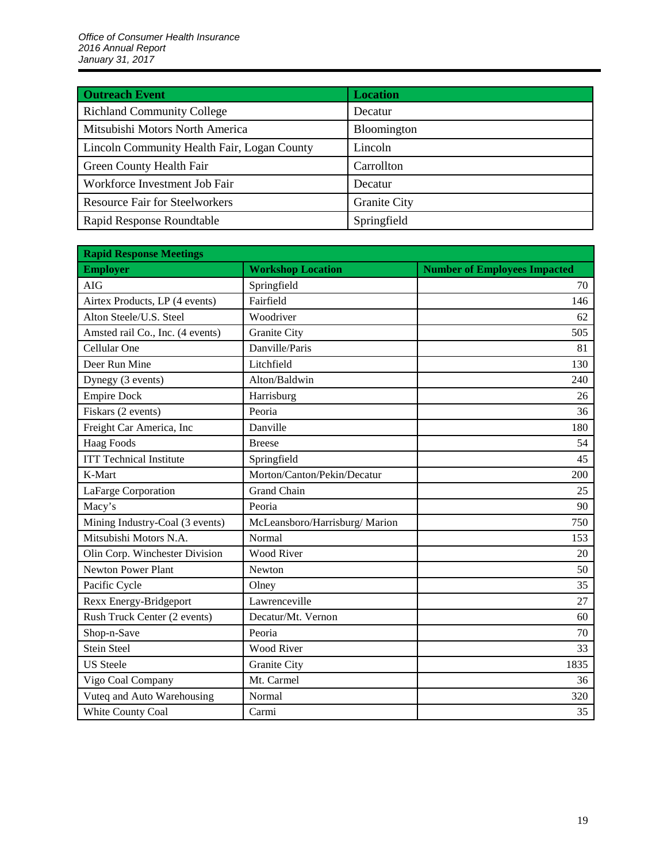| <b>Outreach Event</b>                       | <b>Location</b>     |
|---------------------------------------------|---------------------|
| <b>Richland Community College</b>           | Decatur             |
| Mitsubishi Motors North America             | Bloomington         |
| Lincoln Community Health Fair, Logan County | Lincoln             |
| Green County Health Fair                    | Carrollton          |
| Workforce Investment Job Fair               | Decatur             |
| <b>Resource Fair for Steelworkers</b>       | <b>Granite City</b> |
| Rapid Response Roundtable                   | Springfield         |

| <b>Rapid Response Meetings</b>   |                                |                                     |  |  |
|----------------------------------|--------------------------------|-------------------------------------|--|--|
| <b>Employer</b>                  | <b>Workshop Location</b>       | <b>Number of Employees Impacted</b> |  |  |
| AIG                              | Springfield                    | 70                                  |  |  |
| Airtex Products, LP (4 events)   | Fairfield                      | 146                                 |  |  |
| Alton Steele/U.S. Steel          | Woodriver                      | 62                                  |  |  |
| Amsted rail Co., Inc. (4 events) | <b>Granite City</b>            | 505                                 |  |  |
| Cellular One                     | Danville/Paris                 | 81                                  |  |  |
| Deer Run Mine                    | Litchfield                     | 130                                 |  |  |
| Dynegy (3 events)                | Alton/Baldwin                  | 240                                 |  |  |
| <b>Empire Dock</b>               | Harrisburg                     | 26                                  |  |  |
| Fiskars (2 events)               | Peoria                         | 36                                  |  |  |
| Freight Car America, Inc         | Danville                       | 180                                 |  |  |
| <b>Haag Foods</b>                | <b>Breese</b>                  | 54                                  |  |  |
| <b>ITT Technical Institute</b>   | Springfield                    | 45                                  |  |  |
| K-Mart                           | Morton/Canton/Pekin/Decatur    | 200                                 |  |  |
| LaFarge Corporation              | <b>Grand Chain</b>             | 25                                  |  |  |
| Macy's                           | Peoria                         | 90                                  |  |  |
| Mining Industry-Coal (3 events)  | McLeansboro/Harrisburg/ Marion | 750                                 |  |  |
| Mitsubishi Motors N.A.           | Normal                         | 153                                 |  |  |
| Olin Corp. Winchester Division   | <b>Wood River</b>              | 20                                  |  |  |
| Newton Power Plant               | Newton                         | 50                                  |  |  |
| Pacific Cycle                    | Olney                          | 35                                  |  |  |
| Rexx Energy-Bridgeport           | Lawrenceville                  | 27                                  |  |  |
| Rush Truck Center (2 events)     | Decatur/Mt. Vernon             | 60                                  |  |  |
| Shop-n-Save                      | Peoria                         | 70                                  |  |  |
| <b>Stein Steel</b>               | <b>Wood River</b>              | 33                                  |  |  |
| <b>US</b> Steele                 | <b>Granite City</b>            | 1835                                |  |  |
| Vigo Coal Company                | Mt. Carmel                     | 36                                  |  |  |
| Vuteq and Auto Warehousing       | Normal                         | 320                                 |  |  |
| White County Coal                | Carmi                          | 35                                  |  |  |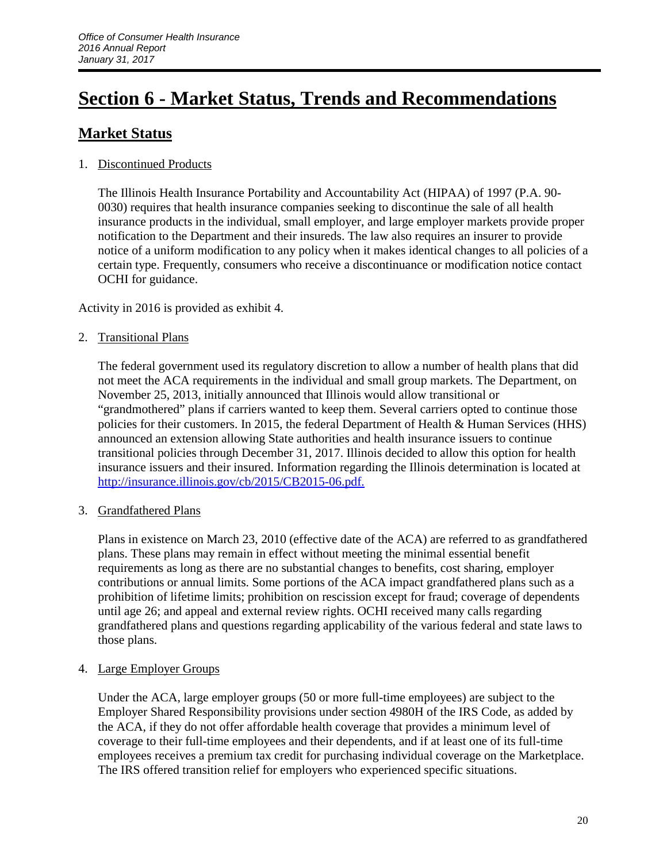## **Section 6 - Market Status, Trends and Recommendations**

## **Market Status**

### 1. Discontinued Products

The Illinois Health Insurance Portability and Accountability Act (HIPAA) of 1997 (P.A. 90- 0030) requires that health insurance companies seeking to discontinue the sale of all health insurance products in the individual, small employer, and large employer markets provide proper notification to the Department and their insureds. The law also requires an insurer to provide notice of a uniform modification to any policy when it makes identical changes to all policies of a certain type. Frequently, consumers who receive a discontinuance or modification notice contact OCHI for guidance.

Activity in 2016 is provided as exhibit 4.

### 2. Transitional Plans

The federal government used its regulatory discretion to allow a number of health plans that did not meet the ACA requirements in the individual and small group markets. The Department, on November 25, 2013, initially announced that Illinois would allow transitional or "grandmothered" plans if carriers wanted to keep them. Several carriers opted to continue those policies for their customers. In 2015, the federal Department of Health & Human Services (HHS) announced an extension allowing State authorities and health insurance issuers to continue transitional policies through December 31, 2017. Illinois decided to allow this option for health insurance issuers and their insured. Information regarding the Illinois determination is located at [http://insurance.illinois.gov/cb/2015/CB2015-06.pdf.](http://insurance.illinois.gov/cb/2015/CB2015-06.pdf)

### 3. Grandfathered Plans

Plans in existence on March 23, 2010 (effective date of the ACA) are referred to as grandfathered plans. These plans may remain in effect without meeting the minimal essential benefit requirements as long as there are no substantial changes to benefits, cost sharing, employer contributions or annual limits. Some portions of the ACA impact grandfathered plans such as a prohibition of lifetime limits; prohibition on rescission except for fraud; coverage of dependents until age 26; and appeal and external review rights. OCHI received many calls regarding grandfathered plans and questions regarding applicability of the various federal and state laws to those plans.

### 4. Large Employer Groups

Under the ACA, large employer groups (50 or more full-time employees) are subject to the Employer Shared Responsibility provisions under section 4980H of the IRS Code, as added by the ACA, if they do not offer affordable health coverage that provides a minimum level of coverage to their full-time employees and their dependents, and if at least one of its full-time employees receives a premium tax credit for purchasing individual coverage on the Marketplace. The IRS offered transition relief for employers who experienced specific situations.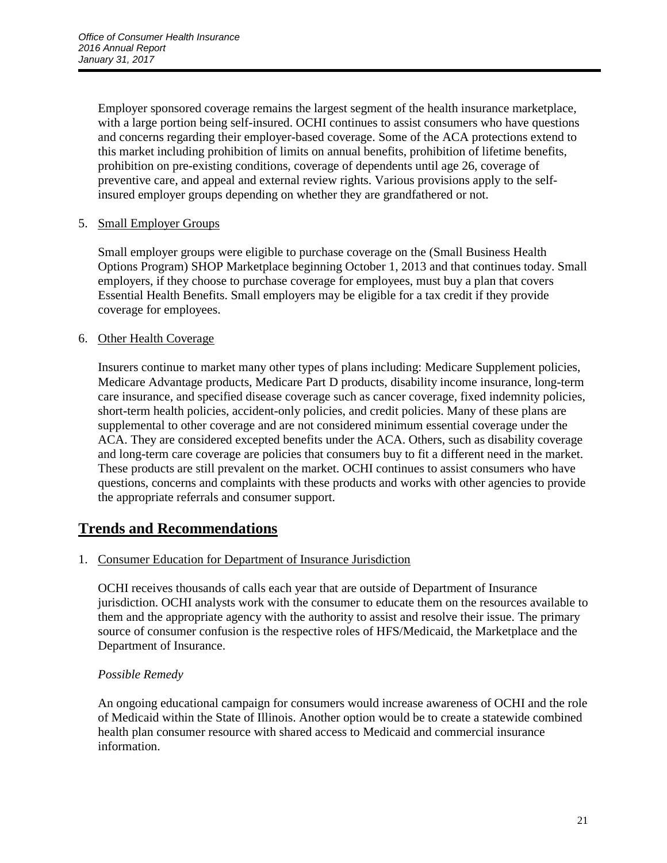Employer sponsored coverage remains the largest segment of the health insurance marketplace, with a large portion being self-insured. OCHI continues to assist consumers who have questions and concerns regarding their employer-based coverage. Some of the ACA protections extend to this market including prohibition of limits on annual benefits, prohibition of lifetime benefits, prohibition on pre-existing conditions, coverage of dependents until age 26, coverage of preventive care, and appeal and external review rights. Various provisions apply to the selfinsured employer groups depending on whether they are grandfathered or not.

### 5. Small Employer Groups

Small employer groups were eligible to purchase coverage on the (Small Business Health Options Program) SHOP Marketplace beginning October 1, 2013 and that continues today. Small employers, if they choose to purchase coverage for employees, must buy a plan that covers Essential Health Benefits. Small employers may be eligible for a tax credit if they provide coverage for employees.

### 6. Other Health Coverage

Insurers continue to market many other types of plans including: Medicare Supplement policies, Medicare Advantage products, Medicare Part D products, disability income insurance, long-term care insurance, and specified disease coverage such as cancer coverage, fixed indemnity policies, short-term health policies, accident-only policies, and credit policies. Many of these plans are supplemental to other coverage and are not considered minimum essential coverage under the ACA. They are considered excepted benefits under the ACA. Others, such as disability coverage and long-term care coverage are policies that consumers buy to fit a different need in the market. These products are still prevalent on the market. OCHI continues to assist consumers who have questions, concerns and complaints with these products and works with other agencies to provide the appropriate referrals and consumer support.

## **Trends and Recommendations**

1. Consumer Education for Department of Insurance Jurisdiction

OCHI receives thousands of calls each year that are outside of Department of Insurance jurisdiction. OCHI analysts work with the consumer to educate them on the resources available to them and the appropriate agency with the authority to assist and resolve their issue. The primary source of consumer confusion is the respective roles of HFS/Medicaid, the Marketplace and the Department of Insurance.

### *Possible Remedy*

An ongoing educational campaign for consumers would increase awareness of OCHI and the role of Medicaid within the State of Illinois. Another option would be to create a statewide combined health plan consumer resource with shared access to Medicaid and commercial insurance information.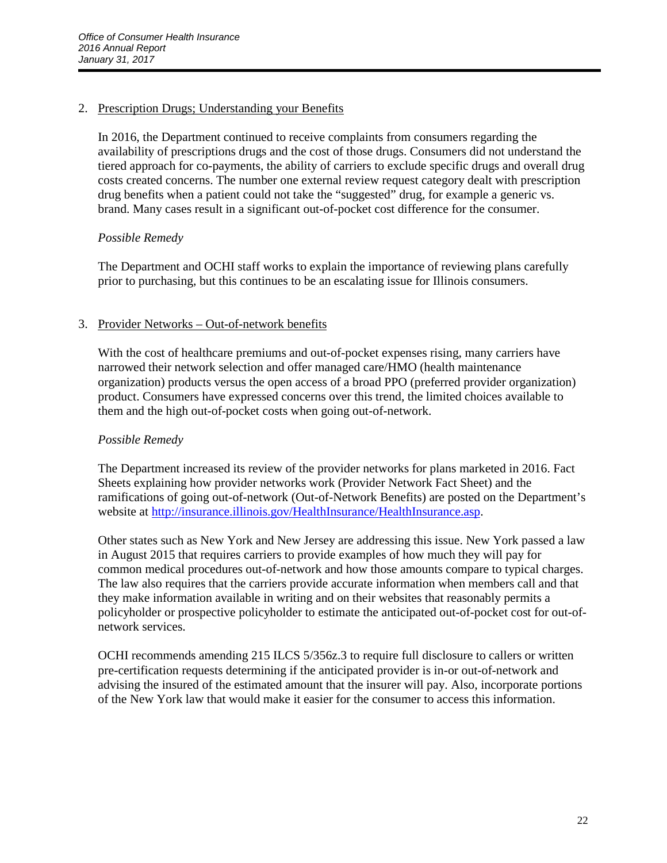### 2. Prescription Drugs; Understanding your Benefits

In 2016, the Department continued to receive complaints from consumers regarding the availability of prescriptions drugs and the cost of those drugs. Consumers did not understand the tiered approach for co-payments, the ability of carriers to exclude specific drugs and overall drug costs created concerns. The number one external review request category dealt with prescription drug benefits when a patient could not take the "suggested" drug, for example a generic vs. brand. Many cases result in a significant out-of-pocket cost difference for the consumer.

### *Possible Remedy*

The Department and OCHI staff works to explain the importance of reviewing plans carefully prior to purchasing, but this continues to be an escalating issue for Illinois consumers.

### 3. Provider Networks – Out-of-network benefits

With the cost of healthcare premiums and out-of-pocket expenses rising, many carriers have narrowed their network selection and offer managed care/HMO (health maintenance organization) products versus the open access of a broad PPO (preferred provider organization) product. Consumers have expressed concerns over this trend, the limited choices available to them and the high out-of-pocket costs when going out-of-network.

### *Possible Remedy*

The Department increased its review of the provider networks for plans marketed in 2016. Fact Sheets explaining how provider networks work (Provider Network Fact Sheet) and the ramifications of going out-of-network (Out-of-Network Benefits) are posted on the Department's website at [http://insurance.illinois.gov/HealthInsurance/HealthInsurance.asp.](http://insurance.illinois.gov/HealthInsurance/HealthInsurance.asp)

Other states such as New York and New Jersey are addressing this issue. New York passed a law in August 2015 that requires carriers to provide examples of how much they will pay for common medical procedures out-of-network and how those amounts compare to typical charges. The law also requires that the carriers provide accurate information when members call and that they make information available in writing and on their websites that reasonably permits a policyholder or prospective policyholder to estimate the anticipated out-of-pocket cost for out-ofnetwork services.

OCHI recommends amending 215 ILCS 5/356z.3 to require full disclosure to callers or written pre-certification requests determining if the anticipated provider is in-or out-of-network and advising the insured of the estimated amount that the insurer will pay. Also, incorporate portions of the New York law that would make it easier for the consumer to access this information.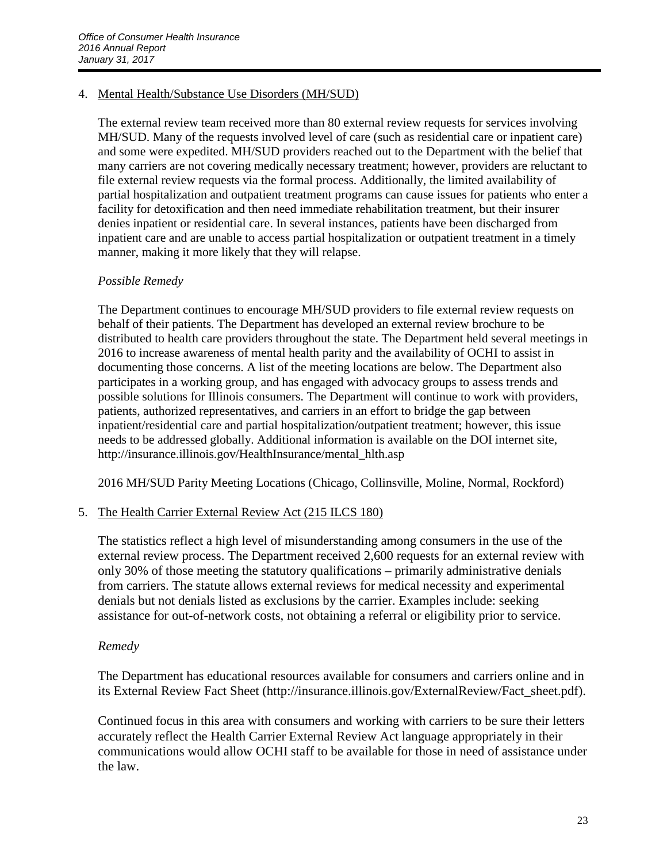### 4. Mental Health/Substance Use Disorders (MH/SUD)

The external review team received more than 80 external review requests for services involving MH/SUD. Many of the requests involved level of care (such as residential care or inpatient care) and some were expedited. MH/SUD providers reached out to the Department with the belief that many carriers are not covering medically necessary treatment; however, providers are reluctant to file external review requests via the formal process. Additionally, the limited availability of partial hospitalization and outpatient treatment programs can cause issues for patients who enter a facility for detoxification and then need immediate rehabilitation treatment, but their insurer denies inpatient or residential care. In several instances, patients have been discharged from inpatient care and are unable to access partial hospitalization or outpatient treatment in a timely manner, making it more likely that they will relapse.

### *Possible Remedy*

The Department continues to encourage MH/SUD providers to file external review requests on behalf of their patients. The Department has developed an external review brochure to be distributed to health care providers throughout the state. The Department held several meetings in 2016 to increase awareness of mental health parity and the availability of OCHI to assist in documenting those concerns. A list of the meeting locations are below. The Department also participates in a working group, and has engaged with advocacy groups to assess trends and possible solutions for Illinois consumers. The Department will continue to work with providers, patients, authorized representatives, and carriers in an effort to bridge the gap between inpatient/residential care and partial hospitalization/outpatient treatment; however, this issue needs to be addressed globally. Additional information is available on the DOI internet site, http://insurance.illinois.gov/HealthInsurance/mental\_hlth.asp

2016 MH/SUD Parity Meeting Locations (Chicago, Collinsville, Moline, Normal, Rockford)

### 5. The Health Carrier External Review Act (215 ILCS 180)

The statistics reflect a high level of misunderstanding among consumers in the use of the external review process. The Department received 2,600 requests for an external review with only 30% of those meeting the statutory qualifications – primarily administrative denials from carriers. The statute allows external reviews for medical necessity and experimental denials but not denials listed as exclusions by the carrier. Examples include: seeking assistance for out-of-network costs, not obtaining a referral or eligibility prior to service.

### *Remedy*

The Department has educational resources available for consumers and carriers online and in its External Review Fact Sheet (http://insurance.illinois.gov/ExternalReview/Fact\_sheet.pdf).

Continued focus in this area with consumers and working with carriers to be sure their letters accurately reflect the Health Carrier External Review Act language appropriately in their communications would allow OCHI staff to be available for those in need of assistance under the law.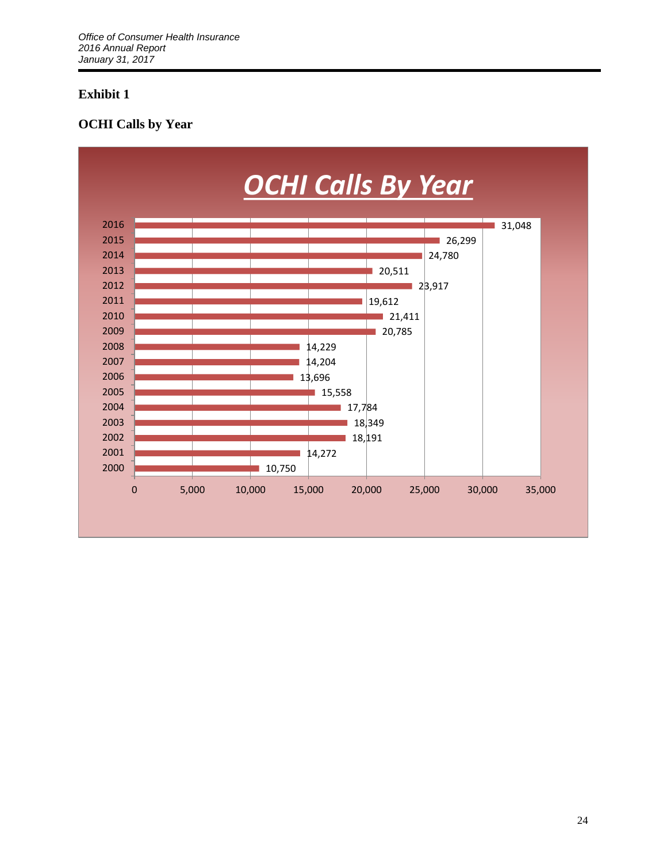### **OCHI Calls by Year**

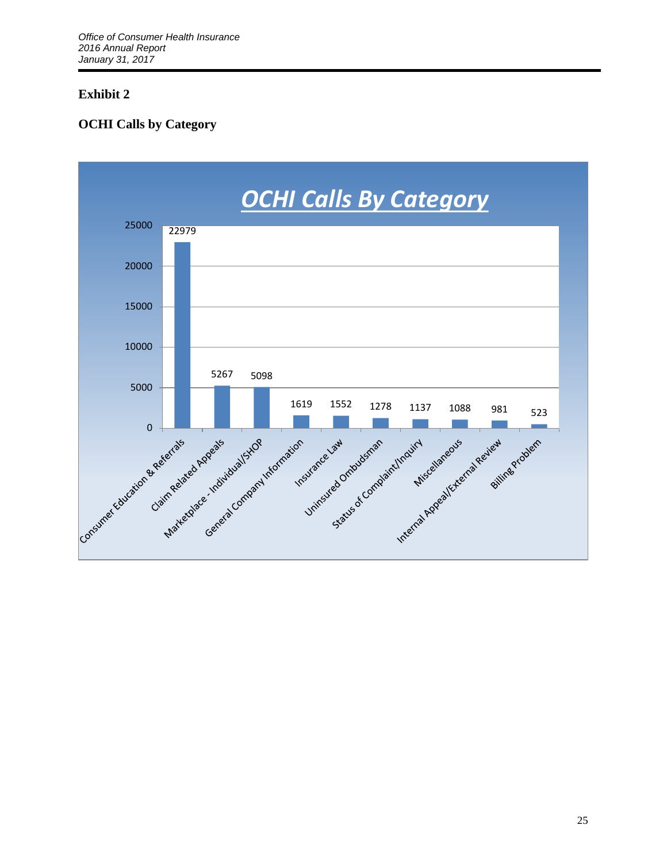### **OCHI Calls by Category**

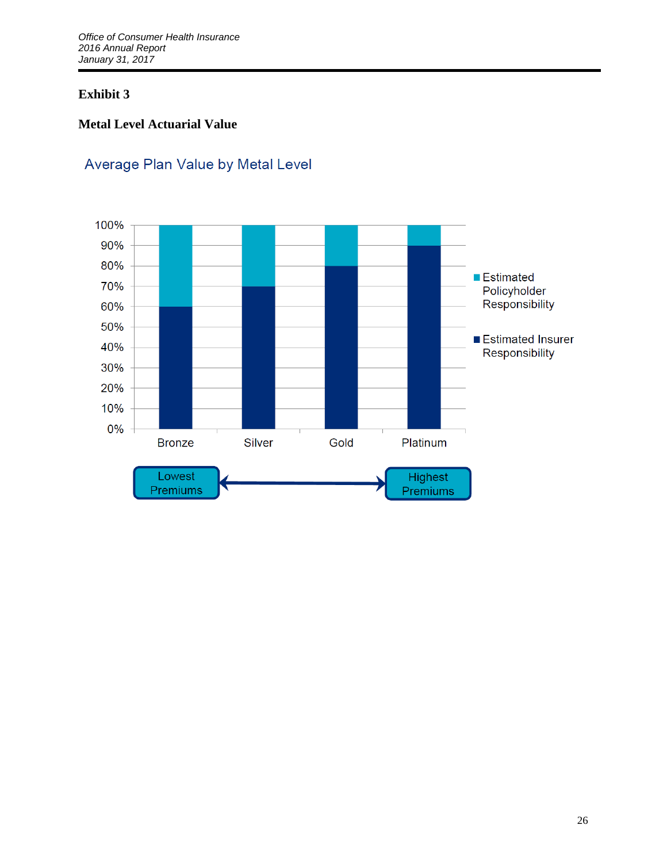### **Metal Level Actuarial Value**



## Average Plan Value by Metal Level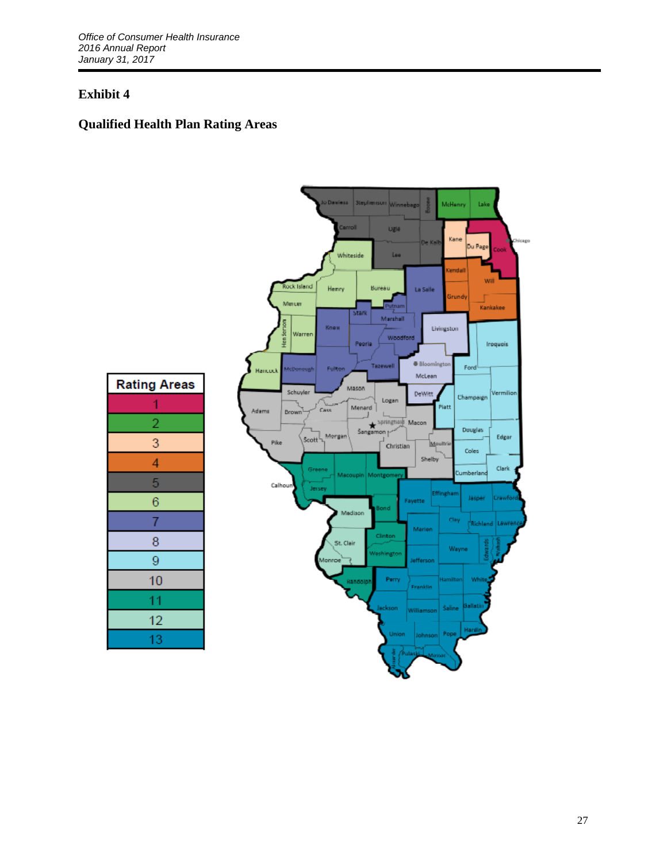## **Qualified Health Plan Rating Areas**